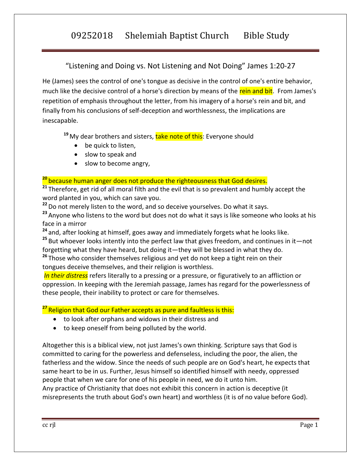09252018 Shelemiah Baptist Church Bible Study

"Listening and Doing vs. Not Listening and Not Doing" James 1:20-27

He (James) sees the control of one's tongue as decisive in the control of one's entire behavior, much like the decisive control of a horse's direction by means of the rein and bit. From James's repetition of emphasis throughout the letter, from his imagery of a horse's rein and bit, and finally from his conclusions of self-deception and worthlessness, the implications are inescapable.

<sup>19</sup> My dear brothers and sisters, **take note of this**: Everyone should

- be quick to listen,
- slow to speak and
- slow to become angry,

## **<sup>20</sup>** because human anger does not produce the righteousness that God desires.

<sup>21</sup> Therefore, get rid of all moral filth and the evil that is so prevalent and humbly accept the word planted in you, which can save you.

**<sup>22</sup>**Do not merely listen to the word, and so deceive yourselves. Do what it says.

**<sup>23</sup>** Anyone who listens to the word but does not do what it says is like someone who looks at his face in a mirror

**<sup>24</sup>** and, after looking at himself, goes away and immediately forgets what he looks like.

**<sup>25</sup>** But whoever looks intently into the perfect law that gives freedom, and continues in it—not forgetting what they have heard, but doing it—they will be blessed in what they do.

**<sup>26</sup>** Those who consider themselves religious and yet do not keep a tight rein on their tongues deceive themselves, and their religion is worthless.

*In their distress* refers literally to a pressing or a pressure, or figuratively to an affliction or oppression. In keeping with the Jeremiah passage, James has regard for the powerlessness of these people, their inability to protect or care for themselves.

### **<sup>27</sup>** Religion that God our Father accepts as pure and faultless is this:

- to look after orphans and widows in their distress and
- to keep oneself from being polluted by the world.

Altogether this is a biblical view, not just James's own thinking. Scripture says that God is committed to caring for the powerless and defenseless, including the poor, the alien, the fatherless and the widow. Since the needs of such people are on God's heart, he expects that same heart to be in us. Further, Jesus himself so identified himself with needy, oppressed people that when we care for one of his people in need, we do it unto him. Any practice of Christianity that does not exhibit this concern in action is deceptive (it misrepresents the truth about God's own heart) and worthless (it is of no value before God).